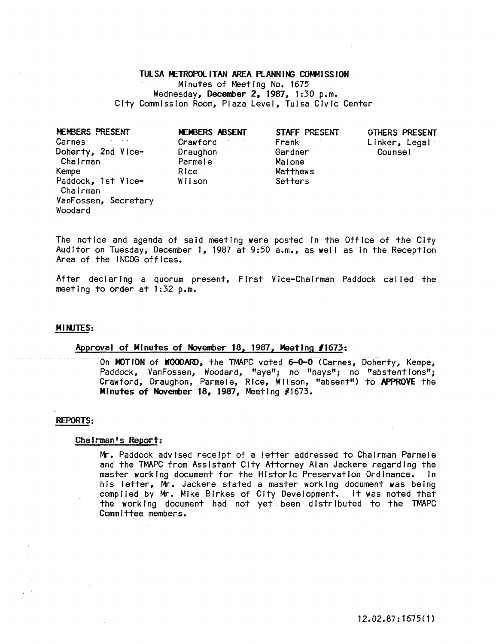# TULSA METROPOLITAN AREA PLANNING COMMISSION Minutes of Meeting No. 1675 Wednesday, December 2, 1987, 1:30 p.m. City Commission Room, Plaza Level, Tulsa Civic Center

**MEMBERS PRESENT** Carnes **Contract State** Doherty, 2nd Vlce-Chairman Kempe Paddock, 1st Vice-Chairman VanFossen, Secretary Woodard

**MEMBERS ABSENT** Crawford **Crawford** Draughon Parmele Rice WII son

STAFF PRESENT Frank **Communist Prank** Gardner Malone Matthews Setters

OTHERS PRESENT Linker, Legal Counsel

The notice and agenda of said meeting were posted In the Office of the City Auditor on Tuesday, December 1, 1987 at 9:50 a.m., as well as in the Reception Area of the INCOG offices.

After declaring a quorum present, First Vice-Chairman Paddock called the meeting to order at 1:32 p.m.

#### MINJTES:

#### Approval of Minutes of November 18, 1987, MeetIng *11673:*

On MOTION of WOODARD, the TMAPC voted 6-0-0 (Carnes, Doherty, Kempe, Paddock, VanFossen, Woodard, "aye"; no "nays"; no "abstentions"; Crawford, Draughon, Parmel e, RIce, W II son, "absent") to APPROVE the MInutes of November 18, 1987, Meeting #1673.

## REPORTS:

#### Chairman's Report:

Mr. Paddock advIsed receipt of a letter addressed to Chairman Parmele and the TMAPC from Assistant City Attorney Alan Jackere regarding the master working document for the Historic Preservation Ordinance. In his letter, Mr. Jackere stated a master working document was being complied by Mr. Mike Birkes of City Development. It was noted that the working document had not yet been distributed to the TMAPC Committee members.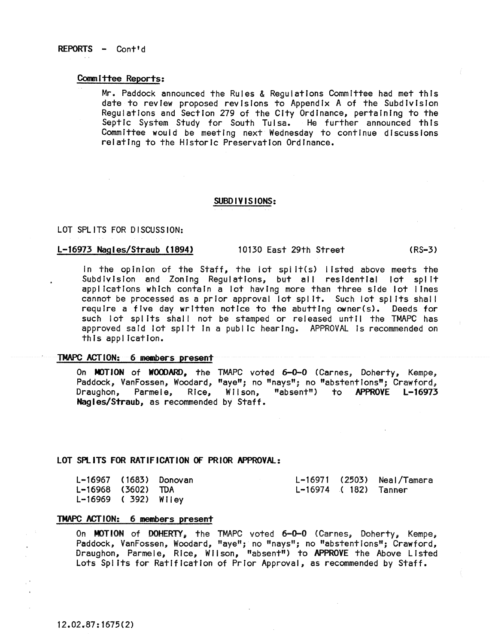# REPORTS - Cont'd

# Committee Reports:

Mr. Paddock announced the Rules & Regulations Committee had met this date to review proposed revisions to Appendix A of the Subdivision Regulations and Section 279 of the City Ordinance, pertaining to the Septic System Study for South Tulsa. He further announced this Committee would be meeting next Wednesday to continue discussions relating to the Historic Preservation Ordinance.

# SUBO **IV** IS IONS:

#### LOT SPLITS FOR DISCUSSION:

#### L-16973 Nagles/Straub (1894) 10130 East 29th Street (RS-3)

In the opinion of the Staff, the lot split(s) listed above meets the Subdivision and Zoning Regulations, but all residential lot split applications which contain a lot having more than three side lot lines cannot be processed as a prior approval lot spl It. Such lot spl Its shall require a five day written notice to the abutting owner(s). Deeds for such lot splits shall not be stamped or released until the TMAPC has approved said lot split in a public hearing. APPROVAL is recommended on this application.

# TMAPC ACTION: 6 members preserrt

On MOTION of WOODARD, the TMAPC voted 6-0-0 (Carnes, Doherty, Kempe, en terrent of seeds. Woodard, "aye"; no "nays"; no "abstentions"; Crawford,<br>Draughon, Parmele, Rice, Wilson, "absent") to APPROVE L-16973 "absent") to APPROVE L-16973 Nagles/Straub, as recommended by Staff.

## LOT SPLITS FOR RATIFICATION OF PRIOR APPROVAL:

| L-16967 (1683) Donovan |  |                      | L-16971 (2503) Neal/Tamara |
|------------------------|--|----------------------|----------------------------|
| L-16968 (3602) TDA     |  | L-16974 (182) Tanner |                            |
| $L-16969$ (392) Wiley  |  |                      |                            |

# TMAPC ACTION: 6 members present

On MOTION of DOHERTY, the TMAPC voted 6-0-0 (Carnes, Doherty, Kempe, Paddock, VanFossen, Woodard, "aye"; no "nays"; no "abstentions"; Crawford, Draughon, Parmele, Rice, Wilson, "absent") to APPROVE the Above Listed Lots Splits for Ratification of Prior Approval, as recommended by Staff.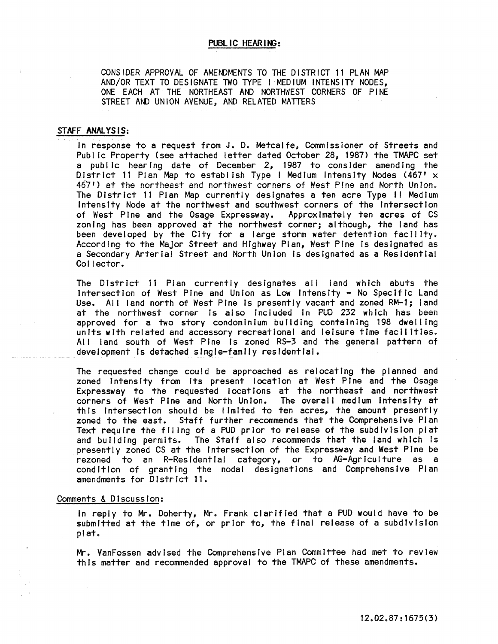CONSIDER APPROVAL OF AMENDMENTS TO THE DISTRICT 11 PLAN MAP AND/OR TEXT TO DESIGNATE TWO TYPE I MEDIUM INTENSITY NODES, ONE EACH AT THE NORTHEAST AND NORTHWEST CORNERS OF PINE STREET AND UNION AVENUE, AND RELATED MATTERS

## STAFF ANALYSIS:

In response to a request from J. D. Metcalfe, Commissioner of Streets and Public Property (see attached letter dated October 28, 1987) the TMAPC set a public hearing date of December 2, 1987 to consider amending the District 11 Plan Map to establish Type I Medium Intensity Nodes (467'  $\times$ 467') at the northeast and northwest corners of West PIne and North UnIon. The District 11 Plan Map currently designates a ten acre Type II Medium IntensIty Node at the northwest and southwest corners of the Intersection of West Pine and the Osage Expressway. Approximately ten acres of CS zoning has been approved at the northwest corner; although, the land has been developed by the City for a large storm water detention facility. According to the Major Street and Highway Plan, West Pine Is designated as a Secondary Arterial Street and North Union Is designated as a Residential Collector.

The District 11 Plan currently designates all land which abuts the intersection of West Pine and Union as Low Intensity - No Specific Land Use. All land north of West Pine is presently vacant and zoned RM-1; land at the northwest corner is also included in PUD 232 which has been approved for a two story condominium building containing 198 dwelling units with related and accessory recreational and leisure time facilities. All land south of West Pine is zoned RS-3 and the general pattern of development Is detached single-family residential.

The requested change could be approached as relocating the planned and zoned intensity from Its present location at West Pine and the Osage Expressway to the requested locations at the northeast and northwest<br>corners of West Pine and North Union. The overall medium intensity at corners of West Pine and North Union. this Intersection should be limited to ten acres, the amount presently zoned to the east. Staff further recommends that the Comprehensive Plan Text require the filing of a PUD prior to release of the subdivision plat and bulldlng permits. The Staff also recommends that the land which Is presently zoned CS at the Intersection of the Expressway and West Pine be rezoned to an R-Resldential category, or to AG-Agrlculture as a condition of granting the nodal designations and Comprehensive Plan amendments for District 11.

#### Comments & Discussion:

In reply to Mr. Doherty, Mr. Frank clarified that a PUD would have to be submitted at the time of, or prior to, the final release of a subdivision plat.

Mr. VanFossen advised the Comprehensive Plan Committee had met to review this matter and recommended approval to the TMAPC of these amendments.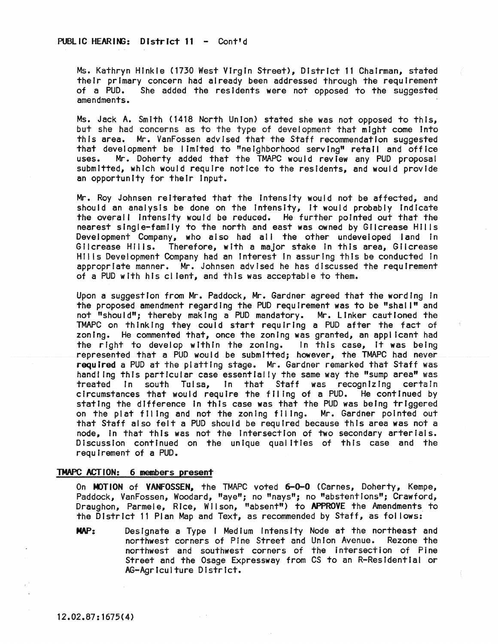Ms. Kathryn Hinkle (1730 West Virgin Street), District 11 Chairman, stated their primary concern had already been addressed through the requirement<br>of a PUD. She added the residents were not opposed to the suggested She added the residents were not opposed to the suggested amendments.

Ms. Jack A. Smith (1418 North Union) stated she was not opposed to this, but she had concerns as to the type of development that might come Into this area. Mr. VanFossen advised that the Staff recommendation suggested that development be Ilmtted to "neighborhood serving" retail and office uses. Mr. Doherty added that the TMAPC would review any PUD proposal submitted, which would require notice to the resIdents, and would provide an opportunity for their input.

Mr. Roy Johnsen reiterated that the Intensity would not be affected, and should an analysis be done on the intensity, it would probably indicate the overall Intensity would be reduced. He further pointed out that the nearest single-family to the north and east was owned by Gilcrease HII Is Development Company, who also had all the other undeveloped land in Gilcrease Hills. Therefore, with a major stake in this area, Gilcrease HI!!s Deve!opment Company had an Interest In assuring this be conducted in appropriate manner. Mr. Johnsen advised he has discussed the requirement of a PUD with his cl lent, and this was acceptable to them.

Upon a suggestion from Mr. Paddock, Mr. Gardner agreed that the wording In the proposed amendment regarding the PUD requirement was to be "shal I" and not "should"; thereby making a PUD mandatory. Mr. Linker cautioned the TMAPC on thinking they could start requiring a PUD after the fact of zoning. He commented that, once the zoning was granted, an appl icant had the right to develop within the zoning. In this case, It was being represented that a PUD would be submitted; however, the TMAPC had never required a PUD at the platting stage. Mr. Gardner remarked that Staff was handling this particular case essentially the same way the "sump area" was<br>treated in south Tulsa. In that Staff was recoonizing certain treated In south Tulsa, In that Staff was recognizing circumstances that would require the filing of a PUD. He continued by stating the difference In this case was that the PUD was being triggered on the plat filing and not the zoning filing. Mr. Gardner pointed out that Staff also felt a PUD should be requIred because this area was not a node, in that this was not the intersection of two secondary arterials. Discussion continued on the unique qual itles of this case and the requirement of a PUD.

## TMAPC ACTION: 6 members present

On MOTION of VANFOSSEN, the TMAPC voted 6-0-0 (Carnes, Doherty, Kempe, Paddock, VanFossen, Woodard, "aye"; no "nays"; no "abstentions"; Crawford, Draughon, Parmele, Rice, WIlson, "absent") to APPROVE the Amendments to the District 11 Plan Map and Text, as recommended by Staff, as fol lows:

MAP: Designate a Type I Medium Intensity Node at the northeast and northwest corners of Pine Street and Union Avenue. Rezone the northwest and southwest corners of the intersection of Pine Street and the Osage Expressway from CS to an R-Resldential or AG-Agriculture District.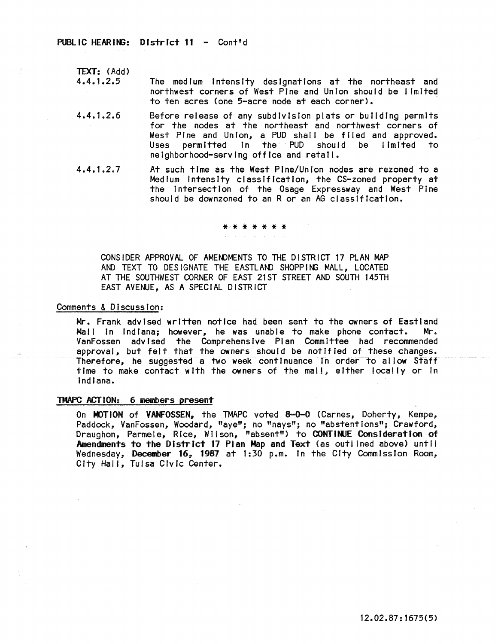PUBLIC HEARING: District 11 - Cont'd

TEXT: (Add) 4.4.1.2.5

The medium intensity designations at the northeast and northwest corners of West Pine and Union should be limited to ten acres (one 5-acre node at each corner). .

- 4.4.1.2.6 Before release of any subdivision plats or bulldlng permits for the nodes at the northeast and northwest corners of West Pine and Union, a PUD shall be filed and approved. Uses permitted in the PUD should be limited to neighborhood-serving office and retail.
- 4.4.1.2.7 At such time as the West Pine/Union nodes are rezoned to a Medium Intensfty classification, the CS-zoned property at the intersection of the Osage Expressway and West Pine should be downzoned to an R or an AG classification.

# \* \* \* \* \* \* \*

CONS!DER APPROVAL OF AMENDMENTS TO THE D!STRICT 17 PLAN MAP AND TEXT TO DESIGNATE THE EASTLAND SHOPPING MALL, LOCATED AT THE SOUTHWEST CORNER OF EAST 21ST STREET AND SOUTH 145TH EAST AVENUE, AS A SPECIAL DISTRICT

#### Comments & Discussion:

Mr. Frank advised written notice had been sent to the owners of Eastland<br>Mall in Indiana: however, he was unable to make phone contact. Mr. Mall in Indiana; however, he was unable to make phone contact. VanFossen advised the Comprehensive Plan Committee had recommended approval, but felt that the owners should be notlfled of these changes. Therefore, he suggested a two week continuance in order to allow Staff time to make contact with the owners of the mall, either locally or in Indiana.

## TMAPC ACTION: 6 members present

On MOTION of VANFOSSEN, the TMAPC voted 8-0-0 (Carnes, Doherty, Kempe, Paddock, VanFossen, Woodard, "aye"; no "nays"; no "abstentions"; Crawford, Draughon, Parmele, Rice, Wilson, "absent") to **CONTINUE Consideration of** Amendments to the District 17 Plan Map and Text (as outlined above) until Wednesday, December 16, 1987 at 1:30 p.m. In the City Commission Room, City Hall, Tulsa Civic Center.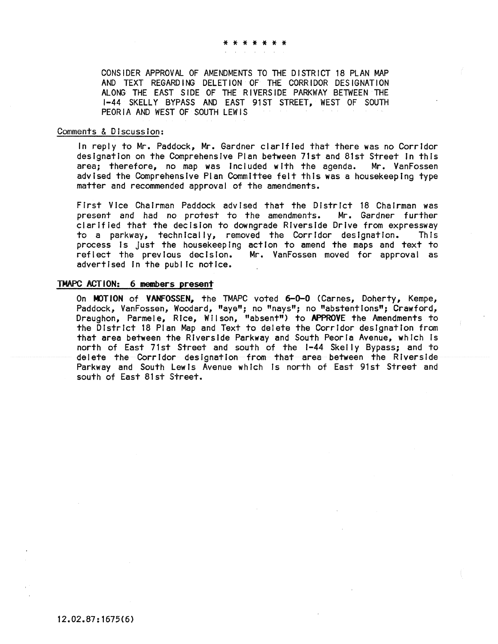\* \* \* \* \* \* \*

CONSIDER APPROVAL OF AMENDMENTS TO THE DISTRICT 18 PLAN MAP AND TEXT REGARDING DELETION OF THE CORRIDOR DESIGNATION ALONG THE EAST SIDE OF THE RIVERSIDE PARKWAY BETWEEN THE 1-44 SKELLY BYPASS AND EAST 91ST STREET, WEST OF SOUTH PEORIA AND WEST OF SOUTH LEWIS

# Comments & Discussion:

In reply to Mr. Paddock, Mr. Gardner clarified that there was no Corridor designation on the Comprehensive Plan between 71st and 81st Street In this area; therefore, no map was included with the agenda. Mr. VanFossen advised the Comprehensive Plan Committee felt this was a housekeeping type matter and recommended approval of the amendments.

First Vice Chairman Paddock advised that the District 18 Chairman was<br>present and had no protest to the amendments. Mr. Gardner further present and had no protest to the amendments. clarIfied that the decision to downgrade Riverside Drive from expressway to a parkway, technIcally, removed the Corridor designation. This process Is just the housekeeping action to amend the maps and text to reflect the previous decision. Mr. VanFossen moved for approval as advertised in the public notice.

## TMAPC ACTION: 6 members present

On MOTION of VANFOSSEN, the TMAPC voted 6-0-0 (Carnes, Doherty, Kempe, Paddock, VanFossen, Woodard, "aye"; no "nays"; no "abstentions"; Crawford, Draughon, Parmele, Rice, Wilson, "absent") to APPROVE the Amendments to the District 18 Plan Map and Text to delete the Corridor deSignation from that area between the Riverside Parkway and South Peoria Avenue, which Is north of East 71st Street and south of the 1-44 Skelly Bypass; and to delete the Corridor designation from that area between the Riverside Parkway and South Lewis Avenue whIch Is north of East 91st Street and south of East 81st Street.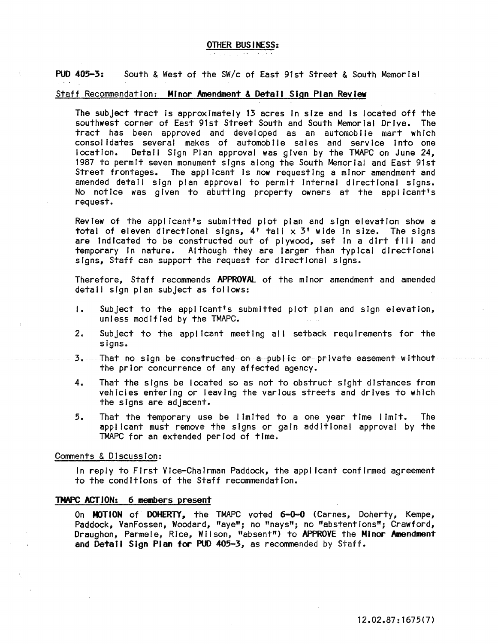#### OTHER BUSINESS:

PUD 405-3: South & West of the SW/c of East 91st Street & South Memorial

# Staff Recommendation: Minor Amendment & Detail Sign Plan Review

The subject tract Is approximately 13 acres In sIze and Is located off the southwest corner of East 91st Street South and South Memorial Drive. The tract has been approved and developed as an automobile mart which consolidates several makes of automobile sales and service into one location. Detail Sign Plan approval was given by the TMAPC on June 24, 1987 to permIt seven monument signs along the South Memorial and East 91st Street frontages. The applicant is now requesting a minor amendment and amended detail sign plan approval to permit Internal directional signs. No notice was given to abutting property owners at the applicant's request.

Review of the applIcant's submitted plot plan and sIgn elevation show a total of eleven directional signs,  $4^{\dagger}$  tall  $\times$  3' wide in size. The signs are Indicated to be constructed out of plywood, set in a dirt fill and temporary in nature. Although they are larger than typical directional **signs, Staff can support the request for directional signs.** 

Therefore, Staff recommends APPROVAL of the minor amendment and amended detail sign plan subject as fol lows:

- I. Subject to the applicant's submitted plot plan and sign elevation, unless modified by the TMAPC.
- 2. Subject to the applicant meetIng all setback requirements for the signs.
- 3. That no sign be constructed on a publ Ie or private easement without the prior concurrence of any affected agency.
- 4. That the signs be located so as not to obstruct sight distances from vehicles entering or leaving the various streets and drives to which the signs are adjacent.
- 5. That the temporary use be lImited to a one year time limit. The app! fcant must remove the sIgns or gaIn additional approval by the TMAPC for an extended perIod of time.

#### Comments & Discussion:

In reply to First Vice-Chairman Paddock, the applicant confirmed agreement to the conditions of the Staff recommendation.

#### TMAPC ACTION: 6 members present

On MOTION of DOHERTY, the TMAPC voted 6-0-0 (Carnes, Doherty, Kempe, Paddock, VanFossen, Woodard, "aye"; no "nays"; no "abstentions"; Crawford, Draughon, Parmele, Rice, Wilson, "absent") to APPROVE the Minor Amendment and Detail Sign Plan for PUD 405-3, as recommended by Staff.